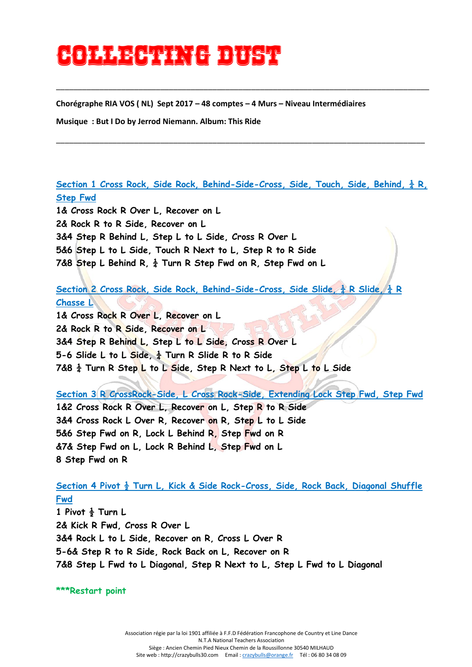## **Collecting to the collection**

**Chorégraphe RIA VOS ( NL) Sept 2017 – 48 comptes – 4 Murs – Niveau Intermédiaires**

**Musique : But I Do by Jerrod Niemann. Album: This Ride**

**Section 1 Cross Rock, Side Rock, Behind-Side-Cross, Side, Touch, Side, Behind, ¼ R, Step Fwd** 

\_\_\_\_\_\_\_\_\_\_\_\_\_\_\_\_\_\_\_\_\_\_\_\_\_\_\_\_\_\_\_\_\_\_\_\_\_\_\_\_\_\_\_\_\_\_\_\_\_\_\_\_\_\_\_\_\_\_\_\_\_\_\_\_\_\_\_\_\_\_\_\_\_\_\_\_\_\_\_\_\_\_\_\_\_

\_\_\_\_\_\_\_\_\_\_\_\_\_\_\_\_\_\_\_\_\_\_\_\_\_\_\_\_\_\_\_\_\_\_\_\_\_\_\_\_\_\_\_\_\_\_\_\_\_\_\_\_\_\_\_\_\_\_\_\_\_\_\_\_\_\_\_\_\_\_\_\_\_\_\_\_\_\_\_\_\_\_\_\_\_\_

**1& Cross Rock R Over L, Recover on L 2& Rock R to R Side, Recover on L 3&4 Step R Behind L, Step L to L Side, Cross R Over L 5&6 Step L to L Side, Touch R Next to L, Step R to R Side 7&8 Step L Behind R, ¼ Turn R Step Fwd on R, Step Fwd on L**

**Section 2 Cross Rock, Side Rock, Behind-Side-Cross, Side Slide, ¼ R Slide, ¼ R Chasse L**

**1& Cross Rock R Over L, Recover on L 2& Rock R to R Side, Recover on L 3&4 Step R Behind L, Step L to L Side, Cross R Over L 5-6 Slide L to L Side, ¼ Turn R Slide R to R Side 7&8 ¼ Turn R Step L to L Side, Step R Next to L, Step L to L Side**

**Section 3 R CrossRock-Side, L Cross Rock-Side, Extending Lock Step Fwd, Step Fwd 1&2 Cross Rock R Over L, Recover on L, Step R to R Side 3&4 Cross Rock L Over R, Recover on R, Step L to L Side 5&6 Step Fwd on R, Lock L Behind R, Step Fwd on R &7& Step Fwd on L, Lock R Behind L, Step Fwd on L 8 Step Fwd on R** 

**Section 4 Pivot ½ Turn L, Kick & Side Rock-Cross, Side, Rock Back, Diagonal Shuffle Fwd 1 Pivot ½ Turn L 2& Kick R Fwd, Cross R Over L 3&4 Rock L to L Side, Recover on R, Cross L Over R 5-6& Step R to R Side, Rock Back on L, Recover on R 7&8 Step L Fwd to L Diagonal, Step R Next to L, Step L Fwd to L Diagonal**

**\*\*\*Restart point**